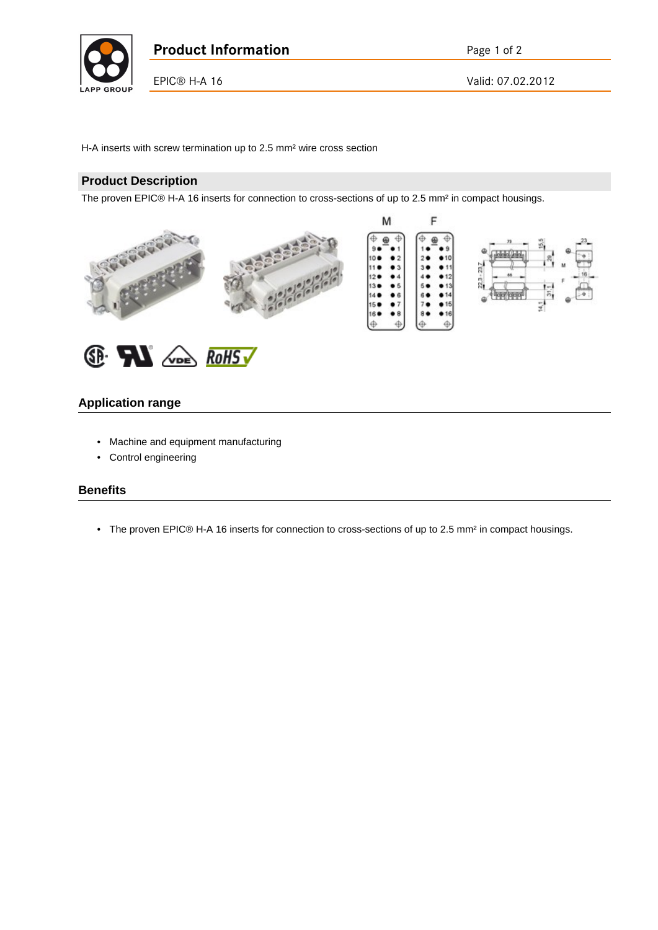

EPIC® H-A 16 Valid: 07.02.2012

H-A inserts with screw termination up to 2.5 mm² wire cross section

## **Product Description**

The proven EPIC® H-A 16 inserts for connection to cross-sections of up to 2.5 mm² in compact housings.









## **Application range**

- Machine and equipment manufacturing
- Control engineering

## **Benefits**

• The proven EPIC® H-A 16 inserts for connection to cross-sections of up to 2.5 mm<sup>2</sup> in compact housings.